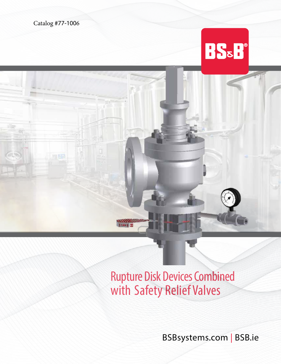Catalog #77-1006

# **BS&H®**

## Rupture Disk Devices Combined with Safety Relief Valves

BSBsystems.com | BSB.ie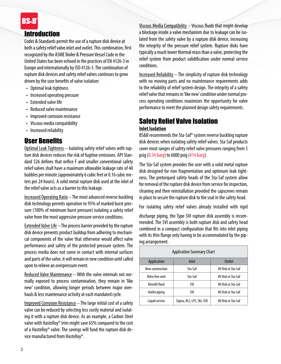## **RS&F**

## Introduction

Codes & Standards permit the use of a rupture disk device at both a safety relief valve inlet and outlet. This combination, first recognized by the ASME Boiler & Pressure Vessel Code in the United States has been echoed in the practices of EN 4126-3 in Europe and internationally by ISO 4126-3. The combination of rupture disk devices and safety relief valves continues to grow driven by the user benefits of valve isolation:

- Optimal leak tightness
- Increased operating pressure
- Extended valve life
- Reduced valve maintenance
- Improved corrosion resistance
- Viscous media compatibility
- Increased reliability

## User Benefits

Optimal Leak Tightness - Isolating safety relief valves with rupture disk devices reduces the risk of fugitive emissions. API Standard 526 defines that orifice F and smaller conventional safety relief valves shall have a maximum allowable leakage rate of 40 bubbles per minute (approximately 6 cubic feet or 0.16 cubic meters per 24 hours). A solid metal rupture disk used at the inlet of the relief valve acts as a barrier to this leakage.

Increased Operating Ratio – The most advanced reverse buckling disk technology permits operation to 95% of marked burst pressure (100% of minimum burst pressure) isolating a safety relief valve from the most aggressive pressure service conditions.

Extended Valve Life – The process barrier provided by the rupture disk device prevents product buildup from adhering to mechanical components of the valve that otherwise would affect valve performance and safety of the protected pressure system. The process media does not come in contact with internal surfaces and parts of the valve, it will remain in new condition until called upon to relieve an overpressure event.

Reduced Valve Maintenance – With the valve internals not normally exposed to process contamination, they remain in 'like new' condition, allowing longer periods between major overhauls & less maintenance activity at each mandated cycle.

Improved Corrosion Resistance – The large initial cost of a safety valve can be reduced by selecting less costly material and isolating it with a rupture disk device. As an example, a Carbon Steel valve with Hastelloy® trim might save 65% compared to the cost of a Hastelloy® valve. The savings will fund the rupture disk device manufactured from Hastelloy®.

Viscous Media Compatibility – Viscous fluids that might develop a blockage inside a valve mechanism due to leakage can be isolated from the safety valve by a rupture disk device, increasing the integrity of the pressure relief system. Rupture disks have typically a much lower thermal mass than a valve, protecting the relief system from product solidification under normal service conditions.

Increased Reliability – The simplicity of rupture disk technology with no moving parts and no maintenance requirements adds to the reliability of relief system design. The integrity of a safety relief valve that remains in 'like new' condition under normal process operating conditions maximizes the opportunity for valve performance to meet the planned design safety requirements.

## Safety Relief Valve Isolation **Inlet Isolation**

BS&B recommends the Sta-Saf® system reverse buckling rupture disk devices when isolating safety relief valves. Sta-Saf products cover most ranges of safety relief valve pressures ranging from 5 psig (0.34 barg) to 6000 psig (414 barg).

The Sta-Saf system provides the user with a solid metal rupture disk designed for non fragmentation and optimum leak tightness. The pretorqued safety heads of the Sta-Saf system allow for removal of the rupture disk device from service for inspection, cleaning and then reinstallation provided the capscrews remain in place to secure the rupture disk to the seat in the safety head.

For isolating safety relief valves already installed with rigid

discharge piping, the Type SVI rupture disk assembly is recommended. The SVI assembly is both rupture disk and safety head combined in a compact configuration that fits into inlet piping with its thin flange only having to be accommodated by the piping arrangement.

| <b>Application Summary Chart</b> |                           |                    |
|----------------------------------|---------------------------|--------------------|
| Application                      | Inlet                     | Outlet             |
| New construction                 | Sta-Saf                   | AV Disk or Sta-Saf |
| Retro free vent                  | Sta-Saf                   | AV Disk or Sta-Saf |
| <b>Retrofit fixed</b>            | svi                       | AV Disk or Sta-Saf |
| Outlet piping                    | svi                       | AV Disk or Sta-Saf |
| Liquid service                   | Sigma, RLS, LPS, SKr, SSR | AV Disk or Sta-Saf |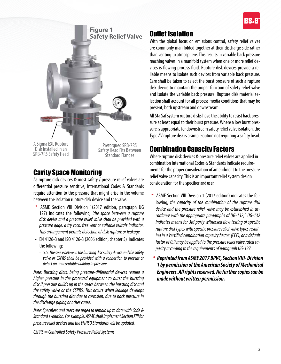



## Cavity Space Monitoring

As rupture disk devices & most safety / pressure relief valves are differential pressure sensitive, International Codes & Standards require attention to the pressure that might arise in the volume between the isolation rupture disk device and the valve.

- \* ASME Section VIII Division 1(2017 edition, paragraph UG 127) indicates the following*, 'the space between a rupture disk device and a pressure relief valve shall be provided with a pressure gage, a try cock, free vent or suitable telltale indicator. This arrangement permits detection of disk rupture or leakage.*
- EN 4126-3 and ISO 4126-3 (2006 edition, chapter 5) indicates the following:
	- *5.5: The space between the bursting disc safety device and the safety valve or CSPRS shall be provided with a connection to prevent or detect an unacceptable buildup in pressure.*

*Note: Bursting discs, being pressure-differential devices require a higher pressure in the protected equipment to burst the bursting disc if pressure builds up in the space between the bursting disc and the safety valve or the CSPRS. This occurs when leakage develops through the bursting disc due to corrosion, due to back pressure in the discharge piping or other cause.*

*Note: Specifiers and users are urged to remain up to date with Code & Standard evolution. For example, ASME shall implement Section XIII for pressure relief devices and the EN/ISO Standards will be updated.*

*CSPRS = Controlled Safety Pressure Relief Systems*

## Outlet Isolation

With the global focus on emissions control, safety relief valves are commonly manifolded together at their discharge side rather than venting to atmosphere. This results in variable back pressure reaching valves in a manifold system when one or more relief devices is flowing process fluid. Rupture disk devices provide a reliable means to isolate such devices from variable back pressure. Care shall be taken to select the burst pressure of such a rupture disk device to maintain the proper function of safety relief valve and isolate the variable back pressure. Rupture disk material selection shall account for all process media conditions that may be present, both upstream and downstream.

All Sta Saf system rupture disks have the ability to resist back pressure at least equal to their burst pressure. Where a low burst pressure is appropriate for downstream safety relief valve isolation, the Type AV rupture disk is a simple option not requiring a safety head.

## Combination Capacity Factors

Where rupture disk devices & pressure relief valves are applied in combination International Codes & Standards indicate requirements for the proper consideration of amendment to the pressure relief valve capacity. This is an important relief system design consideration for the specifier and user.

- \* ASME Section VIII Division 1 (2017 edition) indicates the following, *the capacity of the combination of the rupture disk device and the pressure relief valve may be established in accordance with the appropriate paragraphs of UG-132;' UG-132 indicates means for 3rd party witnessed flow testing of specific rupture disk types with specific pressure relief valve types resulting in a 'certified combination capacity factor' (CCF), or a default factor of 0.9 may be applied to the pressure relief valve rated capacity according to the requirements of paragraph UG-127.*
- *\* Reprinted from ASME 2017 BPVC, Section VIII- Division 1 by permission of the American Society of Mechanical Engineers. All rights reserved. No further copies can be made without written permission.*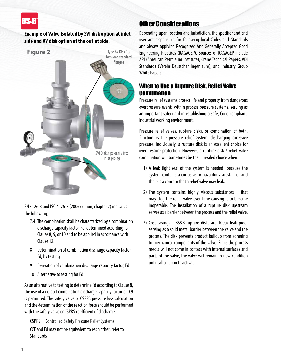## **RS.E**

**Example of Valve Isolated by SVI disk option at inlet side and AV disk option at the outlet side.**



EN 4126-3 and ISO 4126-3 (2006 edition, chapter 7) indicates the following;

- 7.4 The combination shall be characterized by a combination discharge capacity factor, Fd, determined according to Clause 8, 9, or 10 and to be applied in accordance with Clause 12.
- 8 Determination of combination discharge capacity factor, Fd, by testing
- 9 Derivation of combination discharge capacity factor, Fd
- 10 Alternative to testing for Fd

As an alternative to testing to determine Fd according to Clause 8, the use of a default combination discharge capacity factor of 0.9 is permitted. The safety valve or CSPRS pressure loss calculation and the determination of the reaction force should be performed with the safety valve or CSPRS coefficient of discharge.

CSPRS = Controlled Safety Pressure Relief Systems CCF and Fd may not be equivalent to each other; refer to **Standards** 

## Other Considerations

Depending upon location and jurisdiction, the specifier and end user are responsible for following local Codes and Standards and always applying Recognized And Generally Accepted Good Engineering Practices (RAGAGEP). Sources of RAGAGEP include API (American Petroleum Institute), Crane Technical Papers, VDI Standards (Verein Deutscher Ingenieure), and Industry Group White Papers.

## When to Use a Rupture Disk, Relief Valve **Combination**

Pressure relief systems protect life and property from dangerous overpressure events within process pressure systems, serving as an important safeguard in establishing a safe, Code compliant, industrial working environment.

Pressure relief valves, rupture disks, or combination of both, function as the pressure relief system, discharging excessive pressure. Individually, a rupture disk is an excellent choice for overpressure protection. However, a rupture disk / relief valve combination will sometimes be the unrivaled choice when:

- 1) A leak tight seal of the system is needed because the system contains a corrosive or hazardous substance and there is a concern that a relief valve may leak.
- 2) The system contains highly viscous substances that may clog the relief valve over time causing it to become inoperable. The installation of a rupture disk upstream serves as a barrier between the process and the relief valve.
- 3) Cost savings BS&B rupture disks are 100% leak proof serving as a solid metal barrier between the valve and the process. The disk prevents product buildup from adhering to mechanical components of the valve. Since the process media will not come in contact with internal surfaces and parts of the valve, the valve will remain in new condition until called upon to activate.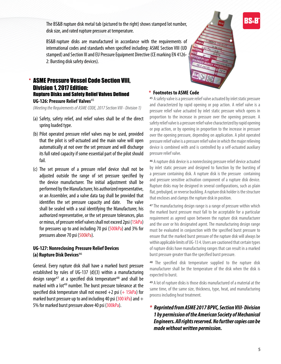The BS&B rupture disk metal tab (pictured to the right) shows stamped lot number, disk size, and rated rupture pressure at temperature.

BS&B rupture disks are manufactured in accordance with the requirements of international codes and standards when specified including: ASME Section VIII (UD stamped) and Section III and EU Pressure Equipment Directive (CE marking EN 4126- 2: Bursting disk safety devices).

## ASME Pressure Vessel Code Section VIII, Division 1, 2017 Edition: Rupture Disks and Safety Relief Valves Defined **\* Footnotes to ASME Code**

**UG-126: Pressure Relief Valves**<sup>45</sup>

*(Meeting the Requirements of ASME CODE, 2017 Section VIII - Division 1)*

- (a) Safety, safety relief, and relief valves shall be of the direct spring loaded type.
- (b) Pilot operated pressure relief valves may be used, provided that the pilot is self-actuated and the main valve will open automatically at not over the set pressure and will discharge its full rated capacity if some essential part of the pilot should fail.
- (c) The set pressure of a pressure relief device shall not be adjusted outside the range of set pressure specified by the device manufacturer. The initial adjustment shall be performed by the Manufacturer, his authorized representative, or an Assembler, and a valve data tag shall be provided that identifies the set pressure capacity and date. The valve shall be sealed with a seal identifying the Manufacturer, his authorized representative, or the set pressure tolerances, plus or minus, of pressure relief valves shall not exceed 2psi (15kPa) for pressures up to and including 70 psi (500kPa) and 3% for pressures above 70 psi (500kPa).

#### **UG-127: Nonreclosing Pressure Relief Devices (a) Rupture Disk Devices**<sup>46</sup>

General. Every rupture disk shall have a marked burst pressure established by rules of UG-137 (d)(3) within a manufacturing design range<sup>47</sup> at a specified disk temperature<sup>48</sup> and shall be marked with a lot<sup>49</sup> number. The burst pressure tolerance at the specified disk temperature shall not exceed  $+2$  psi ( $+15kPa$ ) for marked burst pressure up to and including 40 psi ( $300$  kPa) and  $+$ 5% for marked burst pressure above 40 psi (300kPa).



<sup>45</sup> A safety valve is a pressure relief valve actuated by inlet static pressure and characterized by rapid opening or pop action. A relief valve is a pressure relief valve actuated by inlet static pressure which opens in proportion to the increase in pressure over the opening pressure. A safety relief valve is a pressure relief valve characterized by rapid opening or pop action, or by opening in proportion to the increase in pressure over the opening pressure, depending on application. A pilot operated pressure relief valve is a pressure relief valve in which the major relieving device is combined with and is controlled by a self-actuated auxiliary pressure relief valve.

<sup>46</sup> A rupture disk device is a nonreclosing pressure relief device actuated by inlet static pressure and designed to function by the bursting of a pressure containing disk. A rupture disk is the pressure containing and pressure sensitive activation component of a rupture disk device. Rupture disks may be designed in several configurations, such as plain flat, prebulged, or reverse buckling. A rupture disk holder is the structure that encloses and clamps the rupture disk in position.

<sup>47</sup> The manufacturing design range is a range of pressure within which the marked burst pressure must fall to be acceptable for a particular requirement as agreed upon between the rupture disk manufacturer and the user or his designated agent. The manufacturing design range must be evaluated in conjunction with the specified burst pressure to ensure that the marked burst pressure of the rupture disk will always be within applicable limits of UG-13 4. Users are cautioned that certain types of rupture disks have manufacturing ranges that can result in a marked burst pressure greater than the specified burst pressure.

48 The specified disk temperature supplied to the rupture disk manufacturer shall be the temperature of the disk when the disk is expected to burst.

<sup>49</sup> A lot of rupture disks is those disks manufactured of a material at the same time, of the same size, thickness, type, heat, and manufacturing process including heat treatment.

*\* Reprinted from ASME 2017 BPVC, Section VIII- Division 1 by permission of the American Society of Mechanical Engineers. All rights reserved. No further copies can be made without written permission.*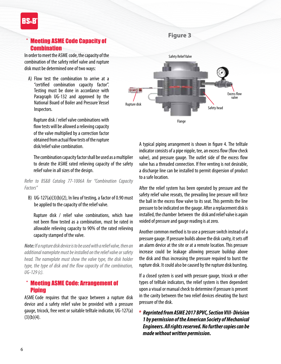## **Meeting ASME Code Capacity of Combination**

In order to meet the ASME code, the capacity of the combination of the safety relief valve and rupture disk must be determined one of two ways:

A) Flow test the combination to arrive at a "certified combination capacity factor". Testing must be done in accordance with Paragraph UG-132 and approved by the National Board of Boiler and Pressure Vessel Inspectors.

Rupture disk / relief valve combinations with flow tests will be allowed a relieving capacity of the valve multiplied by a correction factor obtained from actual flow tests of the rupture disk/relief valve combination.

The combination capacity factor shall be used as a multiplier to derate the ASME rated relieving capacity of the safety relief valve in all sizes of the design.

*Refer to BS&B Catalog 77-1006A for "Combination Capacity Factors"*

B) UG-127(a)(3)(b)(2), In lieu of testing, a factor of 0.90 must be applied to the capacity of the relief valve.

Rupture disk / relief valve combinations, which have not been flow tested as a combination, must be rated in allowable relieving capacity to 90% of the rated relieving capacity stamped of the valve.

*Note: If a rupture disk device is to be used with a relief valve, then an additional nameplate must be installed on the relief valve or safety head. The nameplate must show the valve type, the disk holder type, the type of disk and the flow capacity of the combination, UG-129 (c).*

### \* Meeting ASME Code: Arrangement of Piping

ASME Code requires that the space between a rupture disk device and a safety relief valve be provided with a pressure gauge, tricock, free vent or suitable telltale indicator, UG-127(a)  $(3)(b)(4)$ .

### **Figure 3**



A typical piping arrangement is shown in figure 4. The telltale indicator consists of a pipe nipple, tee, an excess flow (flow check valve), and pressure gauge. The outlet side of the excess flow valve has a threaded connection. If free venting is not desirable, a discharge line can be installed to permit dispersion of product to a safe location.

After the relief system has been operated by pressure and the safety relief valve reseats, the prevailing line pressure will force the ball in the excess flow valve to its seat. This permits the line pressure to be indicated on the gauge. After a replacement disk is installed, the chamber between the disk and relief valve is again voided of pressure and gauge reading is at zero.

Another common method is to use a pressure switch instead of a pressure gauge. If pressure builds above the disk cavity, it sets off an alarm device at the site or at a remote location. This pressure increase could be leakage allowing pressure buildup above the disk and thus increasing the pressure required to burst the rupture disk. It could also be caused by the rupture disk bursting.

If a closed system is used with pressure gauge, tricock or other types of telltale indicators, the relief system is then dependent upon a visual or manual check to determine if pressure is present in the cavity between the two relief devices elevating the burst pressure of the disk.

*\* Reprinted from ASME 2017 BPVC, Section VIII- Division 1 by permission of the American Society of Mechanical Engineers. All rights reserved. No further copies can be made without written permission.*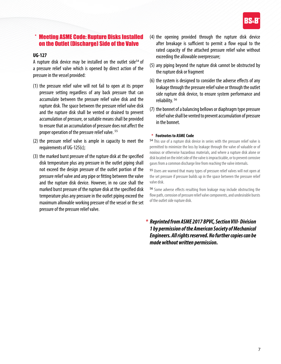

## **Meeting ASME Code: Rupture Disks Installed** on the Outlet (Discharge) Side of the Valve

#### **UG-127**

A rupture disk device may be installed on the outlet side<sup>54</sup> of a pressure relief valve which is opened by direct action of the pressure in the vessel provided:

- (1) the pressure relief valve will not fail to open at its proper pressure setting regardless of any back pressure that can accumulate between the pressure relief valve disk and the rupture disk. The space between the pressure relief valve disk and the rupture disk shall be vented or drained to prevent accumulation of pressure, or suitable means shall be provided to ensure that an accumulation of pressure does not affect the proper operation of the pressure relief valve. <sup>55</sup>
- (2) the pressure relief valve is ample in capacity to meet the requirements of UG-125(c);
- (3) the marked burst pressure of the rupture disk at the specified disk temperature plus any pressure in the outlet piping shall not exceed the design pressure of the outlet portion of the pressure relief valve and any pipe or fitting between the valve and the rupture disk device. However, in no case shall the marked burst pressure of the rupture disk at the specified disk temperature plus any pressure in the outlet piping exceed the maximum allowable working pressure of the vessel or the set pressure of the pressure relief valve.
- (4) the opening provided through the rupture disk device after breakage is sufficient to permit a flow equal to the rated capacity of the attached pressure relief valve without exceeding the allowable overpressure;
- (5) any piping beyond the rupture disk cannot be obstructed by the rupture disk or fragment
- (6) the system is designed to consider the adverse effects of any leakage through the pressure relief valve or through the outlet side rupture disk device, to ensure system performance and reliability. <sup>56</sup>
- (7) the bonnet of a balancing bellows or diaphragm type pressure relief valve shall be vented to prevent accumulation of pressure in the bonnet.

#### **\* Footnotes to ASME Code**

<sup>54</sup> This use of a rupture disk device in series with the pressure relief valve is permitted to minimize the loss by leakage through the valve of valuable or of noxious or otherwise hazardous materials, and where a rupture disk alone or disk located on the inlet side of the valve is impracticable, or to prevent corrosive gases from a common discharge line from reaching the valve internals.

<sup>55</sup> Users are warned that many types of pressure relief valves will not open at the set pressure if pressure builds up in the space between the pressure relief valve disk.

<sup>56</sup> Some adverse effects resulting from leakage may include obstructing the flow path, corrosion of pressure relief valve components, and undesirable bursts of the outlet side rupture disk.

*\* Reprinted from ASME 2017 BPVC, Section VIII- Division 1 by permission of the American Society of Mechanical Engineers. All rights reserved. No further copies can be made without written permission.*